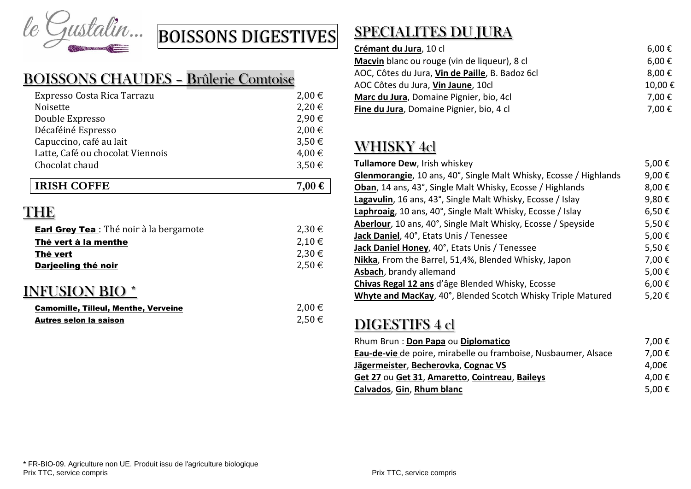

### BOISSONS CHAUDES – Brûlerie Comtoise

| Expresso Costa Rica Tarrazu      | $2,00 \in$ |
|----------------------------------|------------|
| Noisette                         | 2,20€      |
| Double Expresso                  | 2,90 €     |
| Décaféiné Espresso               | 2,00€      |
| Capuccino, café au lait          | 3,50€      |
| Latte, Café ou chocolat Viennois | 4,00 €     |
| Chocolat chaud                   | 3,50€      |
|                                  |            |
| <b>IRISH COFFE</b>               | 7,00 €     |

# THE

| <b>Earl Grey Tea</b> : Thé noir à la bergamote | 2,30 € |
|------------------------------------------------|--------|
| Thé vert à la menthe                           | 2,10 € |
| Thé vert                                       | 2,30 € |
| Darjeeling thé noir                            | 2,50€  |

### INFUSION BIO \*

| <b>Camomille, Tilleul, Menthe, Verveine</b> | $2,00 \in$ |
|---------------------------------------------|------------|
| Autres selon la saison                      | $2,50 \in$ |

# SPECIALITES DU JURA

| Crémant du Jura, 10 cl<br>Macvin blanc ou rouge (vin de liqueur), 8 cl | 6,00 €     |
|------------------------------------------------------------------------|------------|
|                                                                        | $6,00 \in$ |
| AOC, Côtes du Jura, Vin de Paille, B. Badoz 6cl                        | $8,00 \in$ |
| AOC Côtes du Jura, Vin Jaune, 10cl                                     | 10,00€     |
| Marc du Jura, Domaine Pignier, bio, 4cl                                | 7,00€      |
| Fine du Jura, Domaine Pignier, bio, 4 cl                               | 7,00€      |

# WHISKY 4cl

| Tullamore Dew, Irish whiskey                                      | 5,00€      |
|-------------------------------------------------------------------|------------|
| Glenmorangie, 10 ans, 40°, Single Malt Whisky, Ecosse / Highlands | 9,00€      |
| Oban, 14 ans, 43°, Single Malt Whisky, Ecosse / Highlands         | 8,00€      |
| Lagavulin, 16 ans, 43°, Single Malt Whisky, Ecosse / Islay        | 9,80€      |
| Laphroaig, 10 ans, 40°, Single Malt Whisky, Ecosse / Islay        | $6,50 \in$ |
| Aberlour, 10 ans, 40°, Single Malt Whisky, Ecosse / Speyside      | 5,50€      |
| Jack Daniel, 40°, Etats Unis / Tenessee                           | 5,00€      |
| Jack Daniel Honey, 40°, Etats Unis / Tenessee                     | 5,50€      |
| Nikka, From the Barrel, 51,4%, Blended Whisky, Japon              | 7,00€      |
| Asbach, brandy allemand                                           | 5,00€      |
| Chivas Regal 12 ans d'âge Blended Whisky, Ecosse                  | $6,00 \in$ |
| Whyte and MacKay, 40°, Blended Scotch Whisky Triple Matured       | 5,20€      |

### DIGESTIFS 4 cl

| Rhum Brun: Don Papa ou Diplomatico                             | 7,00 €          |
|----------------------------------------------------------------|-----------------|
| Eau-de-vie de poire, mirabelle ou framboise, Nusbaumer, Alsace | 7,00€           |
| Jägermeister, Becherovka, Cognac VS                            | 4.00€           |
| Get 27 ou Get 31, Amaretto, Cointreau, Baileys                 | 4,00€           |
| Calvados, Gin, Rhum blanc                                      | 5,00 $\epsilon$ |